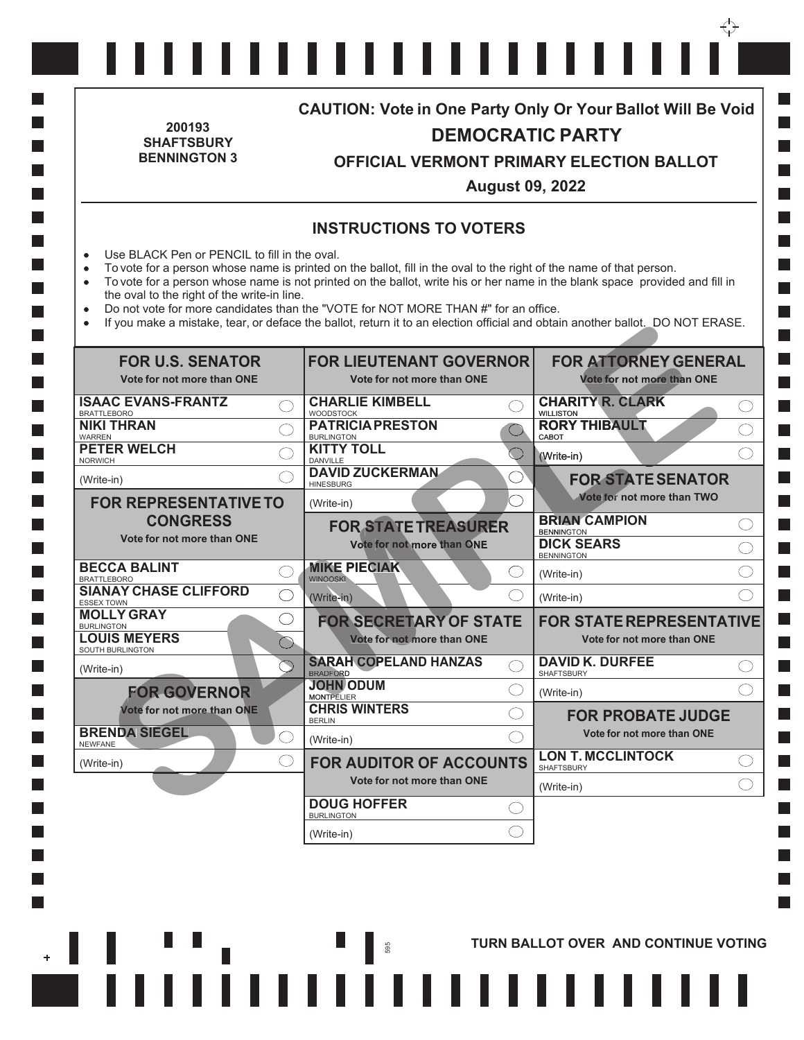| 200193<br><b>SHAFTSBURY</b>                                                                                                                                                                                                                                                                                                                                                                                                                                                                                                                                                                                                  | <b>CAUTION: Vote in One Party Only Or Your Ballot Will Be Void</b><br><b>DEMOCRATIC PARTY</b> |                                                                           |                                                                                     |                                                                         |  |
|------------------------------------------------------------------------------------------------------------------------------------------------------------------------------------------------------------------------------------------------------------------------------------------------------------------------------------------------------------------------------------------------------------------------------------------------------------------------------------------------------------------------------------------------------------------------------------------------------------------------------|-----------------------------------------------------------------------------------------------|---------------------------------------------------------------------------|-------------------------------------------------------------------------------------|-------------------------------------------------------------------------|--|
| <b>BENNINGTON 3</b>                                                                                                                                                                                                                                                                                                                                                                                                                                                                                                                                                                                                          |                                                                                               | OFFICIAL VERMONT PRIMARY ELECTION BALLOT<br><b>August 09, 2022</b>        |                                                                                     |                                                                         |  |
|                                                                                                                                                                                                                                                                                                                                                                                                                                                                                                                                                                                                                              |                                                                                               | <b>INSTRUCTIONS TO VOTERS</b>                                             |                                                                                     |                                                                         |  |
| Use BLACK Pen or PENCIL to fill in the oval.<br>$\bullet$<br>To vote for a person whose name is printed on the ballot, fill in the oval to the right of the name of that person.<br>$\bullet$<br>To vote for a person whose name is not printed on the ballot, write his or her name in the blank space provided and fill in<br>$\bullet$<br>the oval to the right of the write-in line.<br>Do not vote for more candidates than the "VOTE for NOT MORE THAN #" for an office.<br>$\bullet$<br>If you make a mistake, tear, or deface the ballot, return it to an election official and obtain another ballot. DO NOT ERASE. |                                                                                               |                                                                           |                                                                                     |                                                                         |  |
| <b>FOR U.S. SENATOR</b><br>Vote for not more than ONE                                                                                                                                                                                                                                                                                                                                                                                                                                                                                                                                                                        |                                                                                               | <b>FOR LIEUTENANT GOVERNOR</b><br>Vote for not more than ONE              |                                                                                     | <b>FOR ATTORNEY GENERAL</b><br>Vote for not more than ONE               |  |
| <b>ISAAC EVANS-FRANTZ</b><br><b>BRATTLEBORO</b><br><b>NIKI THRAN</b><br><b>WARREN</b>                                                                                                                                                                                                                                                                                                                                                                                                                                                                                                                                        | <b>CHARLIE KIMBELL</b><br><b>WOODSTOCK</b><br><b>PATRICIA PRESTON</b><br><b>BURLINGTON</b>    |                                                                           | <b>CHARITY R. CLARK</b><br><b>WILLISTON</b><br><b>RORY THIBAULT</b><br>CABOT        | ( )<br>()                                                               |  |
| <b>PETER WELCH</b><br><b>NORWICH</b><br>(Write-in)                                                                                                                                                                                                                                                                                                                                                                                                                                                                                                                                                                           | <b>KITTY TOLL</b><br><b>DANVILLE</b><br><b>DAVID ZUCKERMAN</b><br><b>HINESBURG</b>            |                                                                           | (Write-in)<br>. )                                                                   | $\left(\begin{array}{c} \end{array}\right)$<br><b>FOR STATE SENATOR</b> |  |
| <b>FOR REPRESENTATIVE TO</b>                                                                                                                                                                                                                                                                                                                                                                                                                                                                                                                                                                                                 | (Write-in)                                                                                    |                                                                           |                                                                                     | Vote for not more than TWO                                              |  |
| <b>CONGRESS</b><br>Vote for not more than ONE                                                                                                                                                                                                                                                                                                                                                                                                                                                                                                                                                                                |                                                                                               | <b>FOR STATE TREASURER</b><br>Vote for not more than ONE                  | <b>BRIAN CAMPION</b><br><b>BENNINGTON</b><br><b>DICK SEARS</b><br><b>BENNINGTON</b> | $($ )<br>$\bigcirc$                                                     |  |
| <b>BECCA BALINT</b><br><b>BRATTLEBORO</b><br><b>SIANAY CHASE CLIFFORD</b>                                                                                                                                                                                                                                                                                                                                                                                                                                                                                                                                                    | <b>MIKE PIECIAK</b><br><b>WINOOSKI</b>                                                        |                                                                           | (Write-in)<br>(Write-in)                                                            |                                                                         |  |
| <b>ESSEX TOWN</b><br><b>MOLLY GRAY</b><br><b>BURLINGTON</b><br><b>LOUIS MEYERS</b>                                                                                                                                                                                                                                                                                                                                                                                                                                                                                                                                           |                                                                                               | (Write-in)<br><b>FOR SECRETARY OF STATE</b><br>Vote for not more than ONE |                                                                                     | <b>FOR STATE REPRESENTATIVE</b><br>Vote for not more than ONE           |  |
| SOUTH BURLINGTON                                                                                                                                                                                                                                                                                                                                                                                                                                                                                                                                                                                                             |                                                                                               | <b>SARAH COPELAND HANZAS</b>                                              | <b>DAVID K. DURFEE</b>                                                              | ( )                                                                     |  |
| (Write-in)<br><b>FOR GOVERNOR</b>                                                                                                                                                                                                                                                                                                                                                                                                                                                                                                                                                                                            | <b>BRADFORD</b><br><b>JOHN ODUM</b>                                                           |                                                                           | <b>SHAFTSBURY</b><br>(Write-in)                                                     |                                                                         |  |
| Vote for not more than ONE                                                                                                                                                                                                                                                                                                                                                                                                                                                                                                                                                                                                   | <b>MONTPELIER</b><br><b>CHRIS WINTERS</b><br><b>BERLIN</b>                                    |                                                                           |                                                                                     | <b>FOR PROBATE JUDGE</b>                                                |  |
| <b>BRENDA SIEGEL</b><br><b>NEWFANE</b>                                                                                                                                                                                                                                                                                                                                                                                                                                                                                                                                                                                       | (Write-in)                                                                                    |                                                                           |                                                                                     | Vote for not more than ONE                                              |  |
| (Write-in)                                                                                                                                                                                                                                                                                                                                                                                                                                                                                                                                                                                                                   |                                                                                               | <b>FOR AUDITOR OF ACCOUNTS</b><br>Vote for not more than ONE              | <b>LON T. MCCLINTOCK</b><br><b>SHAFTSBURY</b>                                       | ( )                                                                     |  |
|                                                                                                                                                                                                                                                                                                                                                                                                                                                                                                                                                                                                                              | <b>DOUG HOFFER</b>                                                                            |                                                                           | (Write-in)                                                                          |                                                                         |  |
|                                                                                                                                                                                                                                                                                                                                                                                                                                                                                                                                                                                                                              | <b>BURLINGTON</b><br>(Write-in)                                                               |                                                                           |                                                                                     |                                                                         |  |
|                                                                                                                                                                                                                                                                                                                                                                                                                                                                                                                                                                                                                              |                                                                                               |                                                                           |                                                                                     |                                                                         |  |